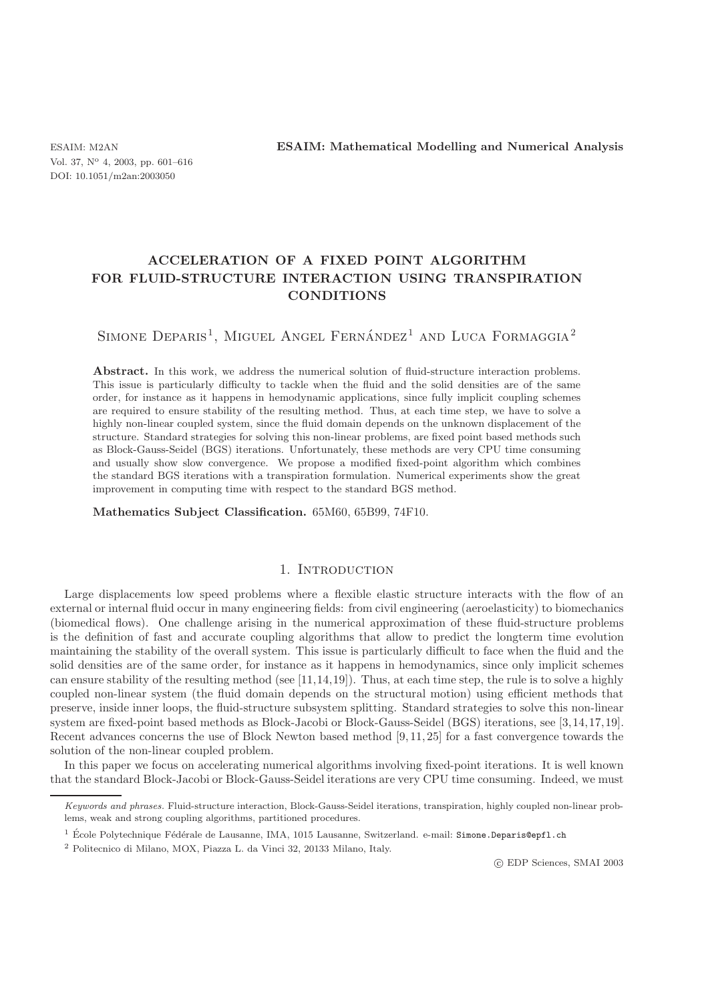ESAIM: M2AN **ESAIM: Mathematical Modelling and Numerical Analysis**

Vol. 37, N<sup>o</sup> 4, 2003, pp. 601–616 DOI: 10.1051/m2an:2003050

# **ACCELERATION OF A FIXED POINT ALGORITHM FOR FLUID-STRUCTURE INTERACTION USING TRANSPIRATION CONDITIONS**

SIMONE DEPARIS<sup>1</sup>, MIGUEL ANGEL FERNÁNDEZ<sup>1</sup> AND LUCA FORMAGGIA<sup>2</sup>

Abstract. In this work, we address the numerical solution of fluid-structure interaction problems. This issue is particularly difficulty to tackle when the fluid and the solid densities are of the same order, for instance as it happens in hemodynamic applications, since fully implicit coupling schemes are required to ensure stability of the resulting method. Thus, at each time step, we have to solve a highly non-linear coupled system, since the fluid domain depends on the unknown displacement of the structure. Standard strategies for solving this non-linear problems, are fixed point based methods such as Block-Gauss-Seidel (BGS) iterations. Unfortunately, these methods are very CPU time consuming and usually show slow convergence. We propose a modified fixed-point algorithm which combines the standard BGS iterations with a transpiration formulation. Numerical experiments show the great improvement in computing time with respect to the standard BGS method.

**Mathematics Subject Classification.** 65M60, 65B99, 74F10.

# 1. INTRODUCTION

Large displacements low speed problems where a flexible elastic structure interacts with the flow of an external or internal fluid occur in many engineering fields: from civil engineering (aeroelasticity) to biomechanics (biomedical flows). One challenge arising in the numerical approximation of these fluid-structure problems is the definition of fast and accurate coupling algorithms that allow to predict the longterm time evolution maintaining the stability of the overall system. This issue is particularly difficult to face when the fluid and the solid densities are of the same order, for instance as it happens in hemodynamics, since only implicit schemes can ensure stability of the resulting method (see  $[11,14,19]$ ). Thus, at each time step, the rule is to solve a highly coupled non-linear system (the fluid domain depends on the structural motion) using efficient methods that preserve, inside inner loops, the fluid-structure subsystem splitting. Standard strategies to solve this non-linear system are fixed-point based methods as Block-Jacobi or Block-Gauss-Seidel (BGS) iterations, see [3,14,17,19]. Recent advances concerns the use of Block Newton based method [9, 11, 25] for a fast convergence towards the solution of the non-linear coupled problem.

In this paper we focus on accelerating numerical algorithms involving fixed-point iterations. It is well known that the standard Block-Jacobi or Block-Gauss-Seidel iterations are very CPU time consuming. Indeed, we must

c EDP Sciences, SMAI 2003

*Keywords and phrases.* Fluid-structure interaction, Block-Gauss-Seidel iterations, transpiration, highly coupled non-linear problems, weak and strong coupling algorithms, partitioned procedures.

 $1$  École Polytechnique Fédérale de Lausanne, IMA, 1015 Lausanne, Switzerland. e-mail: Simone.Deparis@epfl.ch

<sup>2</sup> Politecnico di Milano, MOX, Piazza L. da Vinci 32, 20133 Milano, Italy.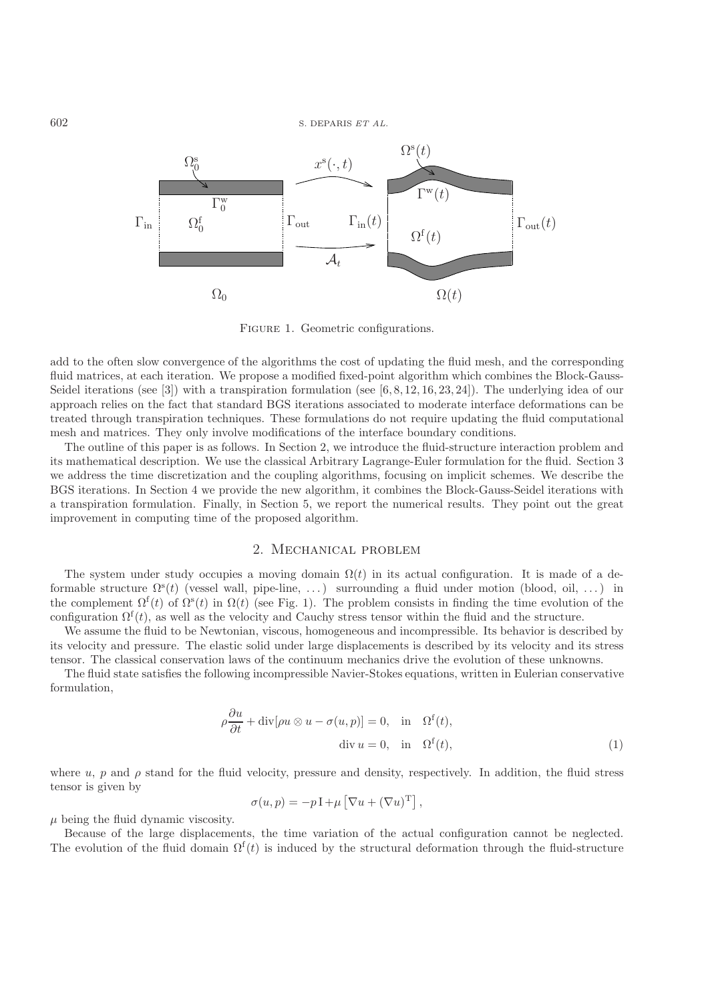602 S. DEPARIS *ET AL.*



FIGURE 1. Geometric configurations.

add to the often slow convergence of the algorithms the cost of updating the fluid mesh, and the corresponding fluid matrices, at each iteration. We propose a modified fixed-point algorithm which combines the Block-Gauss-Seidel iterations (see [3]) with a transpiration formulation (see [6, 8, 12, 16, 23, 24]). The underlying idea of our approach relies on the fact that standard BGS iterations associated to moderate interface deformations can be treated through transpiration techniques. These formulations do not require updating the fluid computational mesh and matrices. They only involve modifications of the interface boundary conditions.

The outline of this paper is as follows. In Section 2, we introduce the fluid-structure interaction problem and its mathematical description. We use the classical Arbitrary Lagrange-Euler formulation for the fluid. Section 3 we address the time discretization and the coupling algorithms, focusing on implicit schemes. We describe the BGS iterations. In Section 4 we provide the new algorithm, it combines the Block-Gauss-Seidel iterations with a transpiration formulation. Finally, in Section 5, we report the numerical results. They point out the great improvement in computing time of the proposed algorithm.

#### 2. Mechanical problem

The system under study occupies a moving domain  $\Omega(t)$  in its actual configuration. It is made of a deformable structure  $\Omega^{s}(t)$  (vessel wall, pipe-line, ...) surrounding a fluid under motion (blood, oil, ...) in the complement  $\Omega^{\text{f}}(t)$  of  $\Omega^{\text{s}}(t)$  in  $\Omega(t)$  (see Fig. 1). The problem consists in finding the time evolution of the configuration  $\Omega^{\text{f}}(t)$ , as well as the velocity and Cauchy stress tensor within the fluid and the structure.

We assume the fluid to be Newtonian, viscous, homogeneous and incompressible. Its behavior is described by its velocity and pressure. The elastic solid under large displacements is described by its velocity and its stress tensor. The classical conservation laws of the continuum mechanics drive the evolution of these unknowns.

The fluid state satisfies the following incompressible Navier-Stokes equations, written in Eulerian conservative formulation,

$$
\rho \frac{\partial u}{\partial t} + \text{div}[\rho u \otimes u - \sigma(u, p)] = 0, \quad \text{in} \quad \Omega^{\text{f}}(t),
$$
  
div  $u = 0$ , in  $\Omega^{\text{f}}(t)$ , (1)

where u, p and  $\rho$  stand for the fluid velocity, pressure and density, respectively. In addition, the fluid stress tensor is given by

$$
\sigma(u, p) = -p \mathbf{I} + \mu \left[ \nabla u + (\nabla u)^{\mathrm{T}} \right],
$$

 $\mu$  being the fluid dynamic viscosity.

Because of the large displacements, the time variation of the actual configuration cannot be neglected. The evolution of the fluid domain  $\Omega^{\text{f}}(t)$  is induced by the structural deformation through the fluid-structure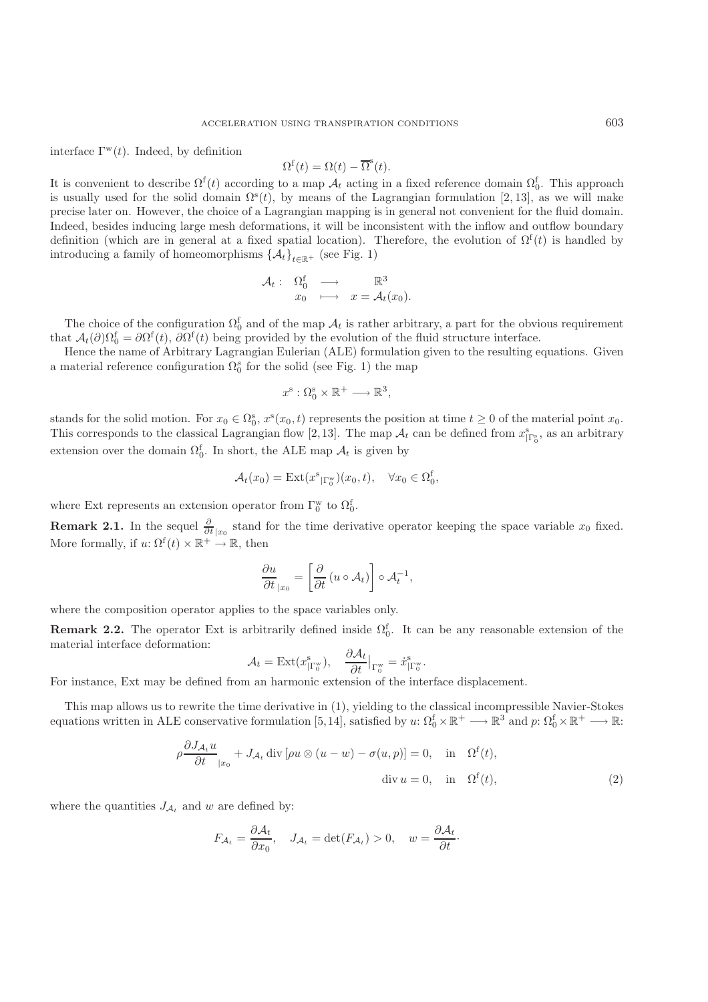interface  $\Gamma^{\mathbf{w}}(t)$ . Indeed, by definition

$$
\Omega^{\mathrm{f}}(t) = \Omega(t) - \overline{\Omega}^{\mathrm{s}}(t).
$$

It is convenient to describe  $\Omega^f(t)$  according to a map  $\mathcal{A}_t$  acting in a fixed reference domain  $\Omega_0^f$ . This approach is usually used for the solid domain  $\Omega^{s}(t)$ , by means of the Lagrangian formulation [2, 13], as we will make precise later on. However, the choice of a Lagrangian mapping is in general not convenient for the fluid domain. Indeed, besides inducing large mesh deformations, it will be inconsistent with the inflow and outflow boundary definition (which are in general at a fixed spatial location). Therefore, the evolution of  $\Omega^{\text{f}}(t)$  is handled by introducing a family of homeomorphisms  $\{\mathcal{A}_t\}_{t\in\mathbb{R}^+}$  (see Fig. 1)

$$
\mathcal{A}_t: \begin{array}{ccc} \Omega_0^{\rm f} & \longrightarrow & \mathbb{R}^3 \\ x_0 & \longmapsto & x = \mathcal{A}_t(x_0). \end{array}
$$

The choice of the configuration  $\Omega_0^f$  and of the map  $\mathcal{A}_t$  is rather arbitrary, a part for the obvious requirement that  $\mathcal{A}_t(\partial)\Omega_0^{\mathsf{f}} = \partial \Omega^{\mathsf{f}}(t)$ ,  $\partial \Omega^{\mathsf{f}}(t)$  being provided by the evolution of the fluid structure interface.

Hence the name of Arbitrary Lagrangian Eulerian (ALE) formulation given to the resulting equations. Given a material reference configuration  $\Omega_0^s$  for the solid (see Fig. 1) the map

$$
x^{\mathrm{s}}:\Omega^{\mathrm{s}}_0\times \mathbb{R}^+\longrightarrow \mathbb{R}^3,
$$

stands for the solid motion. For  $x_0 \in \Omega_0^s$ ,  $x^s(x_0, t)$  represents the position at time  $t \geq 0$  of the material point  $x_0$ . This corresponds to the classical Lagrangian flow [2,13]. The map  $\mathcal{A}_t$  can be defined from  $x_{\vert \Gamma_0^s}^s$ , as an arbitrary extension over the domain  $\Omega_0^f$ . In short, the ALE map  $\mathcal{A}_t$  is given by

$$
\mathcal{A}_t(x_0) = \text{Ext}(x^s|_{\Gamma_0^{\mathbf{w}}})(x_0, t), \quad \forall x_0 \in \Omega_0^{\mathbf{f}},
$$

where Ext represents an extension operator from  $\Gamma_0^{\text{w}}$  to  $\Omega_0^{\text{f}}$ .

**Remark 2.1.** In the sequel  $\frac{\partial}{\partial t}|_{x_0}$  stand for the time derivative operator keeping the space variable  $x_0$  fixed. More formally, if  $u: \Omega^{\{f\}}(t) \times \mathbb{R}^+ \to \mathbb{R}$ , then

$$
\frac{\partial u}{\partial t}_{|x_0} = \left[\frac{\partial}{\partial t} \left(u \circ \mathcal{A}_t\right)\right] \circ \mathcal{A}_t^{-1},
$$

where the composition operator applies to the space variables only.

**Remark 2.2.** The operator Ext is arbitrarily defined inside  $\Omega_0^f$ . It can be any reasonable extension of the material interface deformation:

$$
\mathcal{A}_t = \text{Ext}(x_{|\Gamma_0^{\mathbf{w}}}^s), \quad \frac{\partial \mathcal{A}_t}{\partial t}\big|_{\Gamma_0^{\mathbf{w}}} = \dot{x}_{|\Gamma_0^{\mathbf{w}}}^s.
$$

For instance, Ext may be defined from an harmonic extension of the interface displacement.

This map allows us to rewrite the time derivative in (1), yielding to the classical incompressible Navier-Stokes equations written in ALE conservative formulation [5,14], satisfied by  $u: \Omega_0^f \times \mathbb{R}^+ \longrightarrow \mathbb{R}^3$  and  $p: \Omega_0^f \times \mathbb{R}^+ \longrightarrow \mathbb{R}$ :

$$
\rho \frac{\partial J_{\mathcal{A}_t} u}{\partial t}\Big|_{x_0} + J_{\mathcal{A}_t} \operatorname{div} \left[ \rho u \otimes (u - w) - \sigma(u, p) \right] = 0, \quad \text{in} \quad \Omega^{\mathbf{f}}(t),
$$
  
 
$$
\operatorname{div} u = 0, \quad \text{in} \quad \Omega^{\mathbf{f}}(t), \tag{2}
$$

where the quantities  $J_{\mathcal{A}_t}$  and w are defined by:

$$
F_{\mathcal{A}_t} = \frac{\partial \mathcal{A}_t}{\partial x_0}, \quad J_{\mathcal{A}_t} = \det(F_{\mathcal{A}_t}) > 0, \quad w = \frac{\partial \mathcal{A}_t}{\partial t}.
$$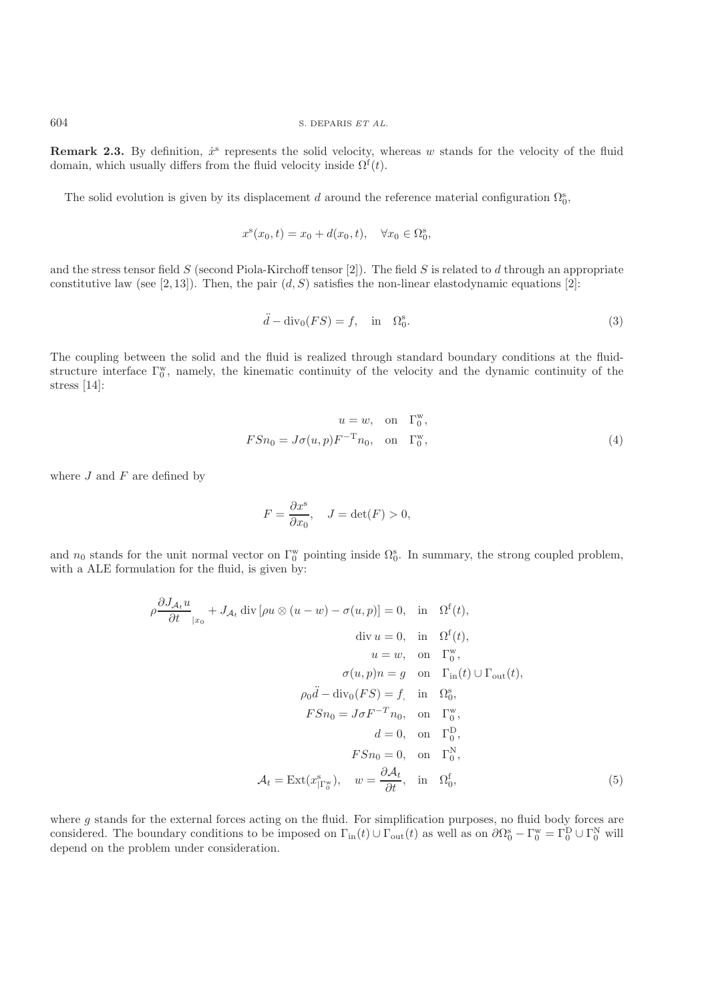**Remark 2.3.** By definition,  $\dot{x}^s$  represents the solid velocity, whereas w stands for the velocity of the fluid domain, which usually differs from the fluid velocity inside  $\Omega^{f}(t)$ .

The solid evolution is given by its displacement d around the reference material configuration  $\Omega_0^s$ ,

$$
x^s(x_0, t) = x_0 + d(x_0, t), \quad \forall x_0 \in \Omega_0^s,
$$

and the stress tensor field S (second Piola-Kirchoff tensor [2]). The field S is related to d through an appropriate constitutive law (see [2, 13]). Then, the pair  $(d, S)$  satisfies the non-linear elastodynamic equations [2]:

$$
\ddot{d} - \text{div}_0(FS) = f, \quad \text{in} \quad \Omega_0^s. \tag{3}
$$

The coupling between the solid and the fluid is realized through standard boundary conditions at the fluidstructure interface  $\Gamma_0^{\rm w}$ , namely, the kinematic continuity of the velocity and the dynamic continuity of the stress [14]:

$$
u = w, \text{ on } \Gamma_0^{\text{w}},
$$
  

$$
FSn_0 = J\sigma(u, p)F^{-T}n_0, \text{ on } \Gamma_0^{\text{w}},
$$
 (4)

where  $J$  and  $F$  are defined by

$$
F = \frac{\partial x^s}{\partial x_0}, \quad J = \det(F) > 0,
$$

and  $n_0$  stands for the unit normal vector on  $\Gamma_0^{\rm w}$  pointing inside  $\Omega_0^{\rm s}$ . In summary, the strong coupled problem, with a ALE formulation for the fluid, is given by:

$$
\rho \frac{\partial J_{\mathcal{A}_t u}}{\partial t}|_{x_0} + J_{\mathcal{A}_t} \operatorname{div} [\rho u \otimes (u - w) - \sigma(u, p)] = 0, \text{ in } \Omega^{\mathsf{f}}(t),
$$
  
\n
$$
\operatorname{div} u = 0, \text{ in } \Omega^{\mathsf{f}}(t),
$$
  
\n
$$
u = w, \text{ on } \Gamma_0^{\mathsf{w}},
$$
  
\n
$$
\sigma(u, p) n = g \text{ on } \Gamma_{\text{in}}(t) \cup \Gamma_{\text{out}}(t),
$$
  
\n
$$
\rho_0 \ddot{d} - \operatorname{div}_0(FS) = f, \text{ in } \Omega_0^{\mathsf{g}},
$$
  
\n
$$
F S n_0 = J \sigma F^{-T} n_0, \text{ on } \Gamma_0^{\mathsf{w}},
$$
  
\n
$$
d = 0, \text{ on } \Gamma_0^{\mathsf{D}},
$$
  
\n
$$
F S n_0 = 0, \text{ on } \Gamma_0^{\mathsf{N}},
$$
  
\n
$$
\mathcal{A}_t = \operatorname{Ext}(x_{|\Gamma_0^{\mathsf{w}}}^{\mathsf{s}}), \quad w = \frac{\partial \mathcal{A}_t}{\partial t}, \text{ in } \Omega_0^{\mathsf{f}},
$$
  
\n(5)

where g stands for the external forces acting on the fluid. For simplification purposes, no fluid body forces are considered. The boundary conditions to be imposed on  $\Gamma_{\rm in}(t) \cup \Gamma_{\rm out}(t)$  as well as on  $\partial\Omega_0^{\rm s} - \Gamma_0^{\rm w} = \Gamma_0^{\rm D} \cup \Gamma_0^{\rm N}$  will depend on the problem under consideration.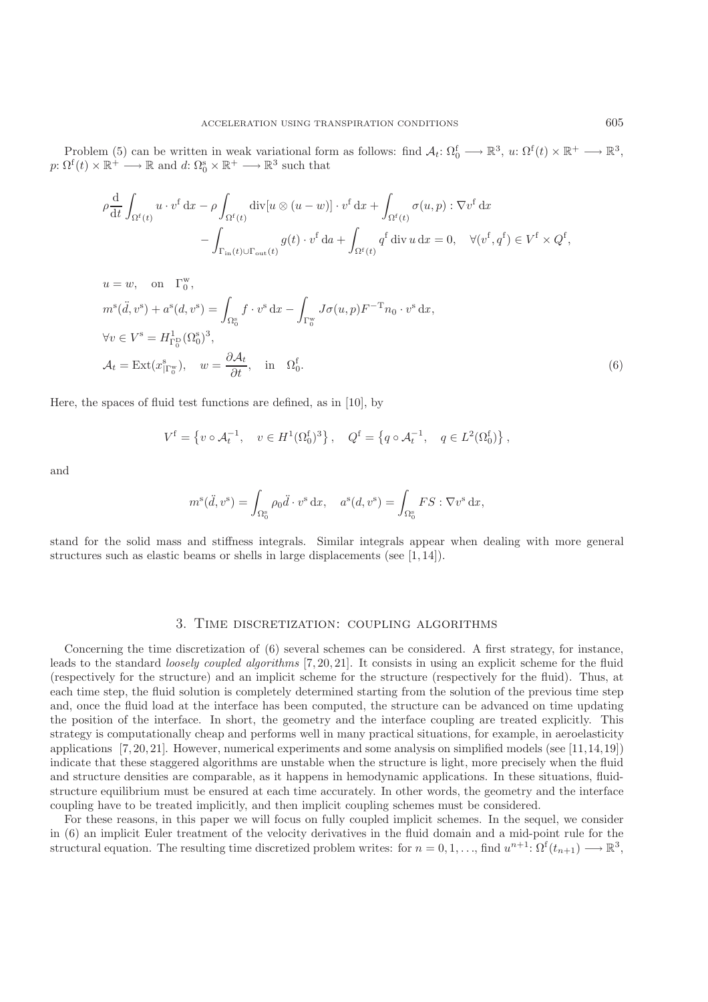Problem (5) can be written in weak variational form as follows: find  $\mathcal{A}_t: \Omega_0^{\mathsf{f}} \longrightarrow \mathbb{R}^3$ ,  $u: \Omega^{\mathsf{f}}(t) \times \mathbb{R}^+ \longrightarrow \mathbb{R}^3$ ,  $p: \Omega^{\text{f}}(t) \times \mathbb{R}^+ \longrightarrow \mathbb{R}$  and  $d: \Omega_0^{\text{s}} \times \mathbb{R}^+ \longrightarrow \mathbb{R}^3$  such that

$$
\rho \frac{d}{dt} \int_{\Omega^f(t)} u \cdot v^f dx - \rho \int_{\Omega^f(t)} \text{div}[u \otimes (u - w)] \cdot v^f dx + \int_{\Omega^f(t)} \sigma(u, p) : \nabla v^f dx - \int_{\Gamma_{\text{in}}(t) \cup \Gamma_{\text{out}}(t)} g(t) \cdot v^f dx + \int_{\Omega^f(t)} q^f dx dx = 0, \quad \forall (v^f, q^f) \in V^f \times Q^f,
$$

$$
u = w, \text{ on } \Gamma_0^{\text{w}},
$$
  
\n
$$
m^{\text{s}}(\ddot{d}, v^{\text{s}}) + a^{\text{s}}(d, v^{\text{s}}) = \int_{\Omega_0^{\text{s}}} f \cdot v^{\text{s}} dx - \int_{\Gamma_0^{\text{w}}} J\sigma(u, p) F^{-\text{T}} n_0 \cdot v^{\text{s}} dx,
$$
  
\n
$$
\forall v \in V^{\text{s}} = H_{\Gamma_0^{\text{D}}}^1(\Omega_0^{\text{s}})^3,
$$
  
\n
$$
\mathcal{A}_t = \text{Ext}(x_{|\Gamma_0^{\text{w}}}^{\text{s}}), \quad w = \frac{\partial \mathcal{A}_t}{\partial t}, \quad \text{in } \Omega_0^{\text{f}}.
$$
\n(6)

Here, the spaces of fluid test functions are defined, as in [10], by

$$
V^{\mathsf{f}} = \left\{ v \circ \mathcal{A}_t^{-1}, \quad v \in H^1(\Omega_0^{\mathsf{f}})^3 \right\}, \quad Q^{\mathsf{f}} = \left\{ q \circ \mathcal{A}_t^{-1}, \quad q \in L^2(\Omega_0^{\mathsf{f}}) \right\},
$$

and

$$
m^{\rm s}(\ddot{d},v^{\rm s})=\int_{\Omega_0^{\rm s}}\rho_0\ddot{d}\cdot v^{\rm s}\,{\rm d}x,\quad a^{\rm s}(d,v^{\rm s})=\int_{\Omega_0^{\rm s}}FS:\nabla v^{\rm s}\,{\rm d}x,
$$

stand for the solid mass and stiffness integrals. Similar integrals appear when dealing with more general structures such as elastic beams or shells in large displacements (see [1, 14]).

#### 3. Time discretization: coupling algorithms

Concerning the time discretization of (6) several schemes can be considered. A first strategy, for instance, leads to the standard *loosely coupled algorithms* [7, 20, 21]. It consists in using an explicit scheme for the fluid (respectively for the structure) and an implicit scheme for the structure (respectively for the fluid). Thus, at each time step, the fluid solution is completely determined starting from the solution of the previous time step and, once the fluid load at the interface has been computed, the structure can be advanced on time updating the position of the interface. In short, the geometry and the interface coupling are treated explicitly. This strategy is computationally cheap and performs well in many practical situations, for example, in aeroelasticity applications [7, 20, 21]. However, numerical experiments and some analysis on simplified models (see [11,14,19]) indicate that these staggered algorithms are unstable when the structure is light, more precisely when the fluid and structure densities are comparable, as it happens in hemodynamic applications. In these situations, fluidstructure equilibrium must be ensured at each time accurately. In other words, the geometry and the interface coupling have to be treated implicitly, and then implicit coupling schemes must be considered.

For these reasons, in this paper we will focus on fully coupled implicit schemes. In the sequel, we consider in (6) an implicit Euler treatment of the velocity derivatives in the fluid domain and a mid-point rule for the structural equation. The resulting time discretized problem writes: for  $n = 0, 1, \ldots$ , find  $u^{n+1}$ :  $\Omega^{\text{f}}(t_{n+1}) \longrightarrow \mathbb{R}^3$ ,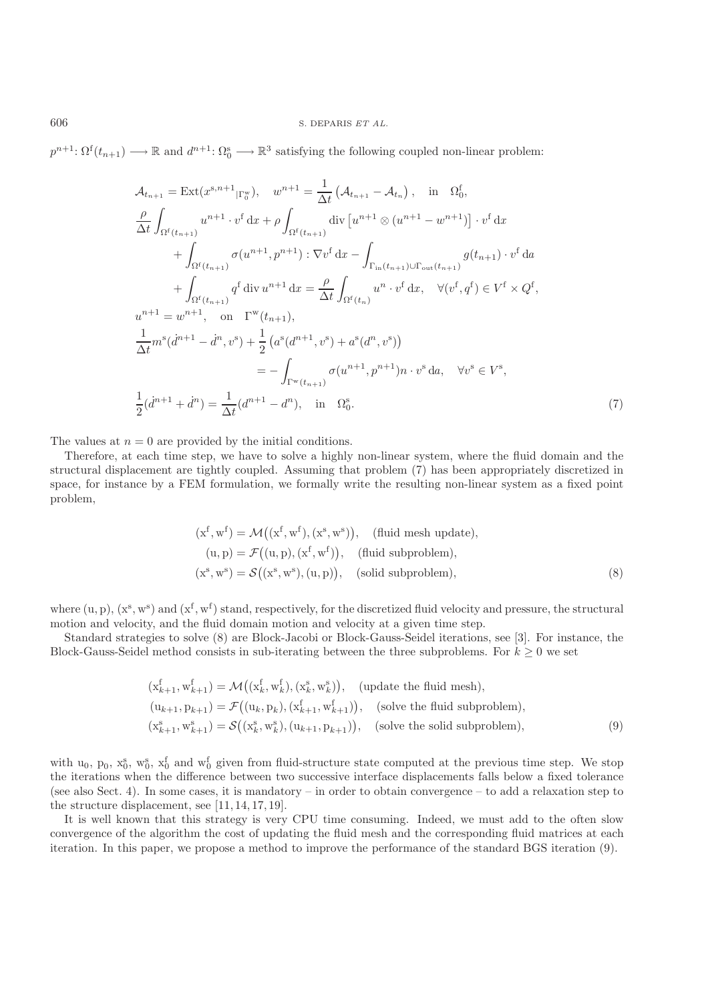$p^{n+1} \colon \Omega^{\mathsf{f}}(t_{n+1}) \longrightarrow \mathbb{R}$  and  $d^{n+1} \colon \Omega_0^{\mathsf{s}} \longrightarrow \mathbb{R}^3$  satisfying the following coupled non-linear problem:

$$
\mathcal{A}_{t_{n+1}} = \text{Ext}(x^{s,n+1} | \Gamma_0^{\text{w}}), \quad w^{n+1} = \frac{1}{\Delta t} \left( \mathcal{A}_{t_{n+1}} - \mathcal{A}_{t_n} \right), \quad \text{in} \quad \Omega_0^{\text{f}},
$$
\n
$$
\frac{\rho}{\Delta t} \int_{\Omega^{\text{f}}(t_{n+1})} u^{n+1} \cdot v^{\text{f}} \, dx + \rho \int_{\Omega^{\text{f}}(t_{n+1})} \text{div} \left[ u^{n+1} \otimes (u^{n+1} - w^{n+1}) \right] \cdot v^{\text{f}} \, dx
$$
\n
$$
+ \int_{\Omega^{\text{f}}(t_{n+1})} \sigma(u^{n+1}, p^{n+1}) : \nabla v^{\text{f}} \, dx - \int_{\Gamma_{\text{in}}(t_{n+1}) \cup \Gamma_{\text{out}}(t_{n+1})} g(t_{n+1}) \cdot v^{\text{f}} \, da
$$
\n
$$
+ \int_{\Omega^{\text{f}}(t_{n+1})} q^{\text{f}} \, \text{div} \, u^{n+1} \, dx = \frac{\rho}{\Delta t} \int_{\Omega^{\text{f}}(t_n)} u^n \cdot v^{\text{f}} \, dx, \quad \forall (v^{\text{f}}, q^{\text{f}}) \in V^{\text{f}} \times Q^{\text{f}},
$$
\n
$$
u^{n+1} = w^{n+1}, \quad \text{on} \quad \Gamma^{\text{w}}(t_{n+1}),
$$
\n
$$
\frac{1}{\Delta t} m^{\text{s}} (\dot{d}^{n+1} - \dot{d}^n, v^{\text{s}}) + \frac{1}{2} \left( a^{\text{s}} (d^{n+1}, v^{\text{s}}) + a^{\text{s}} (d^n, v^{\text{s}}) \right)
$$
\n
$$
= - \int_{\Gamma^{\text{w}}(t_{n+1})} \sigma(u^{n+1}, p^{n+1}) n \cdot v^{\text{s}} \, da, \quad \forall v^{\text{s}} \in V^{\text{s}},
$$
\n
$$
\frac{1}{2} (\dot{d}^{n+1} + \dot{d}^n) = \frac{1}{\Delta t} (d^{n+1} - d^n), \quad \text{in}
$$

The values at  $n = 0$  are provided by the initial conditions.

Therefore, at each time step, we have to solve a highly non-linear system, where the fluid domain and the structural displacement are tightly coupled. Assuming that problem (7) has been appropriately discretized in space, for instance by a FEM formulation, we formally write the resulting non-linear system as a fixed point problem,

$$
(xf, wf) = \mathcal{M}((xf, wf), (xs, ws)),
$$
 (fluid mesh update),  
(u, p) =  $\mathcal{F}((u, p), (xf, wf)),$  (fluid subproblem),  
(x<sup>s</sup>, w<sup>s</sup>) =  $\mathcal{S}((xs, ws), (u, p)),$  (solid subproblem), (8)

where  $(u, p)$ ,  $(x^s, w^s)$  and  $(x^f, w^f)$  stand, respectively, for the discretized fluid velocity and pressure, the structural motion and velocity, and the fluid domain motion and velocity at a given time step.

Standard strategies to solve (8) are Block-Jacobi or Block-Gauss-Seidel iterations, see [3]. For instance, the Block-Gauss-Seidel method consists in sub-iterating between the three subproblems. For  $k \geq 0$  we set

$$
(x_{k+1}^f, w_{k+1}^f) = \mathcal{M}((x_k^f, w_k^f), (x_k^s, w_k^s)),
$$
 (update the fluid mesh),  
\n
$$
(u_{k+1}, p_{k+1}) = \mathcal{F}((u_k, p_k), (x_{k+1}^f, w_{k+1}^f)),
$$
 (solve the fluid subproblem),  
\n
$$
(x_{k+1}^s, w_{k+1}^s) = \mathcal{S}((x_k^s, w_k^s), (u_{k+1}, p_{k+1})),
$$
 (solve the solid subproblem), (9)

with  $u_0, p_0, x_0^s, w_0^s, x_0^f$  and  $w_0^f$  given from fluid-structure state computed at the previous time step. We stop the iterations when the difference between two successive interface displacements falls below a fixed tolerance (see also Sect. 4). In some cases, it is mandatory – in order to obtain convergence – to add a relaxation step to the structure displacement, see [11, 14, 17, 19].

It is well known that this strategy is very CPU time consuming. Indeed, we must add to the often slow convergence of the algorithm the cost of updating the fluid mesh and the corresponding fluid matrices at each iteration. In this paper, we propose a method to improve the performance of the standard BGS iteration (9).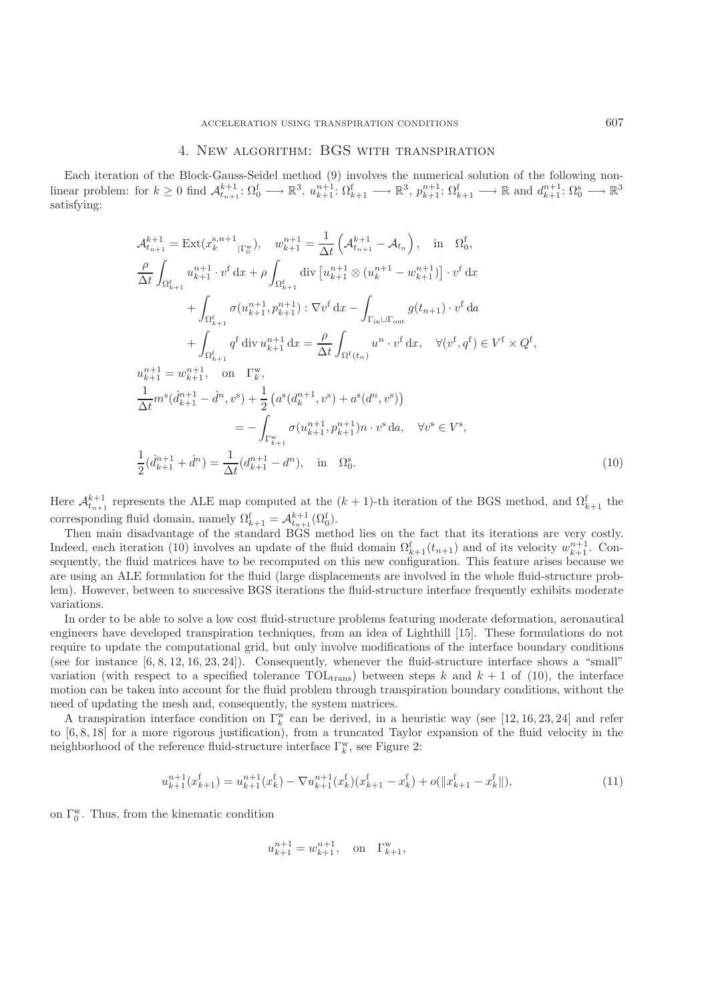## 4. New algorithm: BGS with transpiration

Each iteration of the Block-Gauss-Seidel method (9) involves the numerical solution of the following non- $\text{linear problem: for } k \geq 0 \text{ find } \mathcal{A}_{t_{n+1}}^{k+1} \colon \Omega_0^{\mathsf{f}} \longrightarrow \mathbb{R}^3, u_{k+1}^{n+1} \colon \Omega_{k+1}^{\mathsf{f}} \longrightarrow \mathbb{R}^3, p_{k+1}^{n+1} \colon \Omega_{k+1}^{\mathsf{f}} \longrightarrow \mathbb{R} \text{ and } d_{k+1}^{n+1} \colon \Omega_0^{\mathsf{s}} \longrightarrow \mathbb{R}^3$ satisfying:

$$
\mathcal{A}_{t_{n+1}}^{k+1} = \text{Ext}(x_k^{s,n+1}|_{\Gamma_0^w}), \quad w_{k+1}^{n+1} = \frac{1}{\Delta t} \left( \mathcal{A}_{t_{n+1}}^{k+1} - \mathcal{A}_{t_n} \right), \quad \text{in} \quad \Omega_0^f,
$$
\n
$$
\frac{\rho}{\Delta t} \int_{\Omega_{k+1}^f} u_{k+1}^{n+1} \cdot v^f \, dx + \rho \int_{\Omega_{k+1}^f} \text{div} \left[ u_{k+1}^{n+1} \otimes (u_k^{n+1} - w_{k+1}^{n+1}) \right] \cdot v^f \, dx
$$
\n
$$
+ \int_{\Omega_{k+1}^f} \sigma(u_{k+1}^{n+1}, p_{k+1}^{n+1}) : \nabla v^f \, dx - \int_{\Gamma_{\text{in}} \cup \Gamma_{\text{out}}} g(t_{n+1}) \cdot v^f \, da
$$
\n
$$
+ \int_{\Omega_{k+1}^f} q^f \, \text{div} \, u_{k+1}^{n+1} \, dx = \frac{\rho}{\Delta t} \int_{\Omega^f(t_n)} u^n \cdot v^f \, dx, \quad \forall (v^f, q^f) \in V^f \times Q^f,
$$
\n
$$
u_{k+1}^{n+1} = w_{k+1}^{n+1}, \quad \text{on} \quad \Gamma_k^w,
$$
\n
$$
\frac{1}{\Delta t} m^s (\dot{d}_{k+1}^{n+1} - \dot{d}^n, v^s) + \frac{1}{2} \left( a^s (d_k^{n+1}, v^s) + a^s (d^n, v^s) \right)
$$
\n
$$
= - \int_{\Gamma_{k+1}^w} \sigma(u_{k+1}^{n+1}, p_{k+1}^{n+1}) n \cdot v^s \, da, \quad \forall v^s \in V^s,
$$
\n
$$
\frac{1}{2} (\dot{d}_{k+1}^{n+1} + \dot{d}^n) = \frac{1}{\Delta t} (d_{k+1}^{n+1} - d^n), \quad \text{in} \quad \Omega_0^s.
$$
\n(10)

Here  $\mathcal{A}_{t_{n+1}}^{k+1}$  represents the ALE map computed at the  $(k+1)$ -th iteration of the BGS method, and  $\Omega_{k+1}^{\text{f}}$  the corresponding fluid domain, namely  $\Omega_{k+1}^{\mathbf{f}} = \mathcal{A}_{t_{n+1}}^{k+1}(\Omega_0^{\mathbf{f}})$ .

Then main disadvantage of the standard BGS method lies on the fact that its iterations are very costly. Indeed, each iteration (10) involves an update of the fluid domain  $\Omega_{k+1}^{\text{f}}(t_{n+1})$  and of its velocity  $w_{k+1}^{n+1}$ . Consequently, the fluid matrices have to be recomputed on this new configuration. This feature arises because we are using an ALE formulation for the fluid (large displacements are involved in the whole fluid-structure problem). However, between to successive BGS iterations the fluid-structure interface frequently exhibits moderate variations.

In order to be able to solve a low cost fluid-structure problems featuring moderate deformation, aeronautical engineers have developed transpiration techniques, from an idea of Lighthill [15]. These formulations do not require to update the computational grid, but only involve modifications of the interface boundary conditions (see for instance  $[6, 8, 12, 16, 23, 24]$ ). Consequently, whenever the fluid-structure interface shows a "small" variation (with respect to a specified tolerance TOL<sub>trans</sub>) between steps k and  $k + 1$  of (10), the interface motion can be taken into account for the fluid problem through transpiration boundary conditions, without the need of updating the mesh and, consequently, the system matrices.

A transpiration interface condition on  $\Gamma_k^{\rm w}$  can be derived, in a heuristic way (see [12, 16, 23, 24] and refer to [6, 8, 18] for a more rigorous justification), from a truncated Taylor expansion of the fluid velocity in the neighborhood of the reference fluid-structure interface  $\Gamma_k^{\rm w}$ , see Figure 2:

$$
u_{k+1}^{n+1}(x_{k+1}^{\mathbf{f}}) = u_{k+1}^{n+1}(x_k^{\mathbf{f}}) - \nabla u_{k+1}^{n+1}(x_k^{\mathbf{f}})(x_{k+1}^{\mathbf{f}} - x_k^{\mathbf{f}}) + o(||x_{k+1}^{\mathbf{f}} - x_k^{\mathbf{f}}||),
$$
\n(11)

on  $\Gamma_0^{\rm w}$ . Thus, from the kinematic condition

$$
u_{k+1}^{n+1} = w_{k+1}^{n+1}, \quad \text{on} \quad \Gamma_{k+1}^{\mathbf{w}},
$$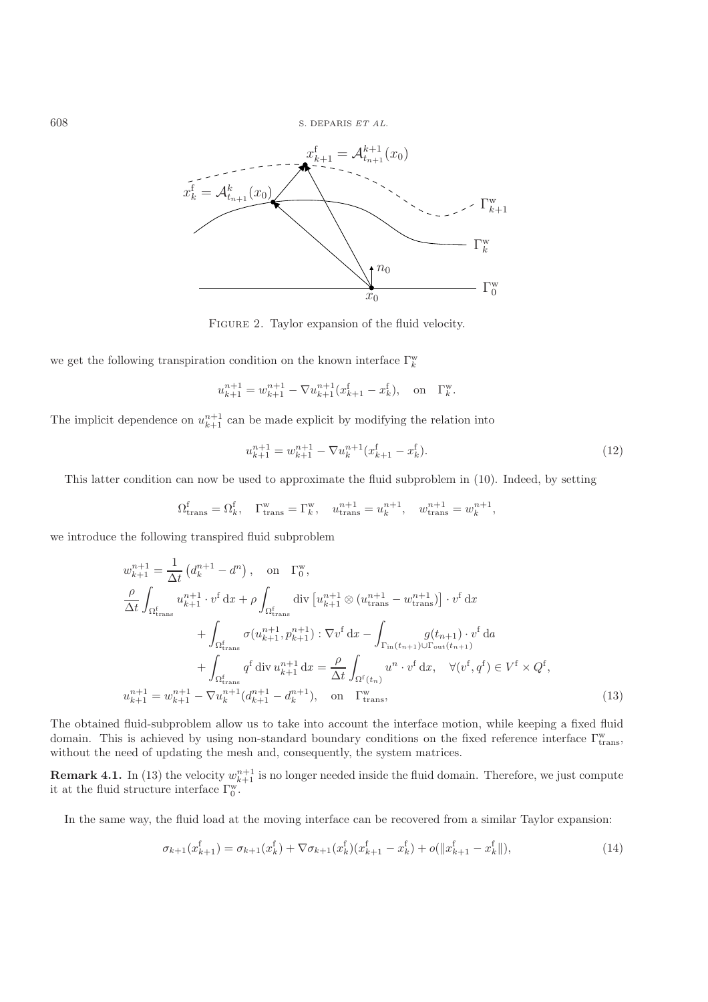

Figure 2. Taylor expansion of the fluid velocity.

we get the following transpiration condition on the known interface  $\Gamma_k^{\rm w}$ 

$$
u_{k+1}^{n+1} = w_{k+1}^{n+1} - \nabla u_{k+1}^{n+1} (x_{k+1}^{\mathbf{f}} - x_k^{\mathbf{f}}), \text{ on } \Gamma_k^{\mathbf{w}}.
$$

The implicit dependence on  $u_{k+1}^{n+1}$  can be made explicit by modifying the relation into

$$
u_{k+1}^{n+1} = w_{k+1}^{n+1} - \nabla u_k^{n+1} (x_{k+1}^{\text{f}} - x_k^{\text{f}}).
$$
\n(12)

This latter condition can now be used to approximate the fluid subproblem in (10). Indeed, by setting

$$
\Omega^\mathrm{f}_\mathrm{trans} = \Omega^\mathrm{f}_k, \quad \Gamma^\mathrm{w}_\mathrm{trans} = \Gamma^\mathrm{w}_k, \quad u_\mathrm{trans}^{n+1} = u_k^{n+1}, \quad w_\mathrm{trans}^{n+1} = w_k^{n+1},
$$

we introduce the following transpired fluid subproblem

$$
w_{k+1}^{n+1} = \frac{1}{\Delta t} \left( d_k^{n+1} - d^n \right), \text{ on } \Gamma_0^{\text{w}},
$$
  
\n
$$
\frac{\rho}{\Delta t} \int_{\Omega_{\text{trans}}^{\epsilon}} u_{k+1}^{n+1} \cdot v^{\epsilon} \, dx + \rho \int_{\Omega_{\text{trans}}^{\epsilon}} \text{div} \left[ u_{k+1}^{n+1} \otimes (u_{\text{trans}}^{n+1} - u_{\text{trans}}^{n+1}) \right] \cdot v^{\epsilon} \, dx
$$
  
\n
$$
+ \int_{\Omega_{\text{trans}}^{\epsilon}} \sigma(u_{k+1}^{n+1}, p_{k+1}^{n+1}) : \nabla v^{\epsilon} \, dx - \int_{\Gamma_{\text{in}}(t_{n+1}) \cup \Gamma_{\text{out}}(t_{n+1})} g(t_{n+1}) \cdot v^{\epsilon} \, da
$$
  
\n
$$
+ \int_{\Omega_{\text{trans}}^{\epsilon}} q^{\epsilon} \, \text{div} \, u_{k+1}^{n+1} \, dx = \frac{\rho}{\Delta t} \int_{\Omega^{f}(t_n)} u^n \cdot v^{\epsilon} \, dx, \quad \forall (v^{\epsilon}, q^{\epsilon}) \in V^{\epsilon} \times Q^{\epsilon},
$$
  
\n
$$
u_{k+1}^{n+1} = w_{k+1}^{n+1} - \nabla u_{k}^{n+1} (d_{k+1}^{n+1} - d_{k}^{n+1}), \quad \text{on } \Gamma_{\text{trans}}^{\text{w}},
$$
\n(13)

The obtained fluid-subproblem allow us to take into account the interface motion, while keeping a fixed fluid domain. This is achieved by using non-standard boundary conditions on the fixed reference interface  $\Gamma^{\rm w}_{\rm trans}$ , without the need of updating the mesh and, consequently, the system matrices.

**Remark 4.1.** In (13) the velocity  $w_{k+1}^{n+1}$  is no longer needed inside the fluid domain. Therefore, we just compute it at the fluid structure interface  $\Gamma_0^{\text{w}}$ .

In the same way, the fluid load at the moving interface can be recovered from a similar Taylor expansion:

$$
\sigma_{k+1}(x_{k+1}^f) = \sigma_{k+1}(x_k^f) + \nabla \sigma_{k+1}(x_k^f)(x_{k+1}^f - x_k^f) + o(||x_{k+1}^f - x_k^f||),\tag{14}
$$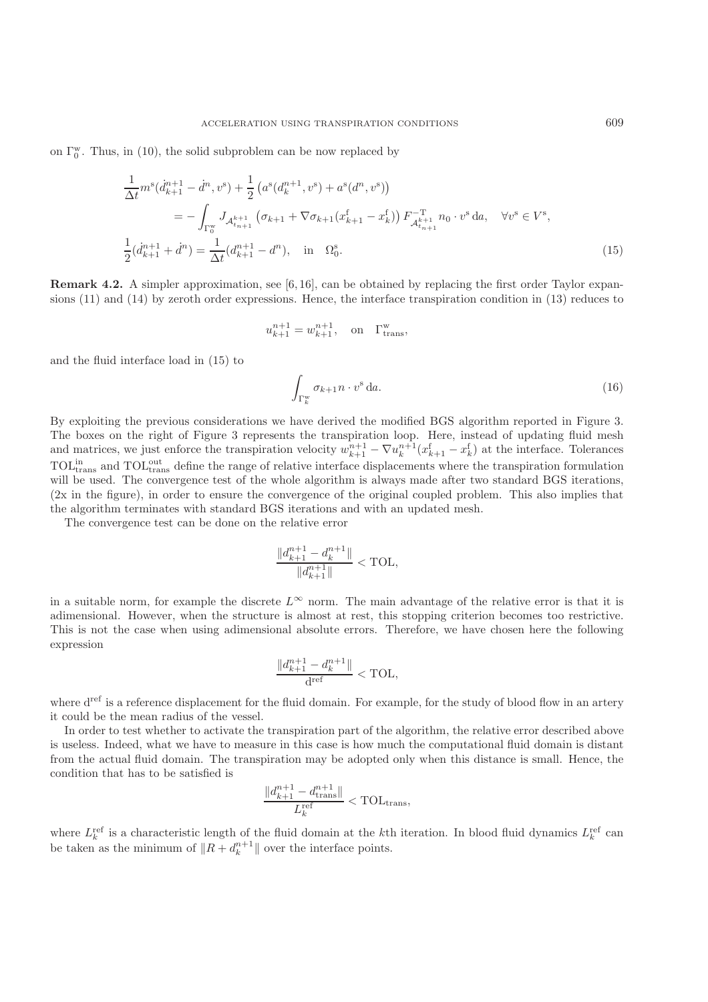on  $\Gamma_0^{\text{w}}$ . Thus, in (10), the solid subproblem can be now replaced by

$$
\frac{1}{\Delta t} m^s (\dot{d}_{k+1}^{n+1} - \dot{d}^n, v^s) + \frac{1}{2} \left( a^s (d_k^{n+1}, v^s) + a^s (d^n, v^s) \right)
$$
\n
$$
= - \int_{\Gamma_0^w} J_{\mathcal{A}_{t+1}^{k+1}} \left( \sigma_{k+1} + \nabla \sigma_{k+1} (x_{k+1}^f - x_k^f) \right) F_{\mathcal{A}_{t+1}^{k+1}}^{-T} n_0 \cdot v^s \, da, \quad \forall v^s \in V^s,
$$
\n
$$
\frac{1}{2} (\dot{d}_{k+1}^{n+1} + \dot{d}^n) = \frac{1}{\Delta t} (d_{k+1}^{n+1} - d^n), \quad \text{in} \quad \Omega_0^s.
$$
\n(15)

**Remark 4.2.** A simpler approximation, see [6, 16], can be obtained by replacing the first order Taylor expansions (11) and (14) by zeroth order expressions. Hence, the interface transpiration condition in (13) reduces to

$$
u_{k+1}^{n+1} = w_{k+1}^{n+1}, \quad \text{on} \quad \Gamma_{\text{trans}}^{\text{w}},
$$

and the fluid interface load in (15) to

$$
\int_{\Gamma_k^{\rm w}} \sigma_{k+1} n \cdot v^{\rm s} \, \mathrm{d}a. \tag{16}
$$

By exploiting the previous considerations we have derived the modified BGS algorithm reported in Figure 3. The boxes on the right of Figure 3 represents the transpiration loop. Here, instead of updating fluid mesh and matrices, we just enforce the transpiration velocity  $w_{k+1}^{n+1} - \nabla u_k^{n+1}(x_{k+1}^{\text{f}} - x_k^{\text{f}})$  at the interface. Tolerances TOL<sup>in</sup><sub>trans</sub> and TOL<sup>out</sup> define the range of relative interface displacements where the transpiration formulation will be used. The convergence test of the whole algorithm is always made after two standard BGS iterations, (2x in the figure), in order to ensure the convergence of the original coupled problem. This also implies that the algorithm terminates with standard BGS iterations and with an updated mesh.

The convergence test can be done on the relative error

$$
\frac{\|d_{k+1}^{n+1}-d_k^{n+1}\|}{\|d_{k+1}^{n+1}\|}<\text{TOL},
$$

in a suitable norm, for example the discrete  $L^{\infty}$  norm. The main advantage of the relative error is that it is adimensional. However, when the structure is almost at rest, this stopping criterion becomes too restrictive. This is not the case when using adimensional absolute errors. Therefore, we have chosen here the following expression

$$
\frac{\|d_{k+1}^{n+1} - d_k^{n+1}\|}{\mathrm{d}^{\text{ref}}} < \text{TOL},
$$

where dref is a reference displacement for the fluid domain. For example, for the study of blood flow in an artery it could be the mean radius of the vessel.

In order to test whether to activate the transpiration part of the algorithm, the relative error described above is useless. Indeed, what we have to measure in this case is how much the computational fluid domain is distant from the actual fluid domain. The transpiration may be adopted only when this distance is small. Hence, the condition that has to be satisfied is

$$
\frac{\|d_{k+1}^{n+1}-d_{\text{trans}}^{n+1}\|}{L_k^{\text{ref}}} < \text{TOL}_{\text{trans}},
$$

where  $L_k^{\text{ref}}$  is a characteristic length of the fluid domain at the k<sup>th</sup> iteration. In blood fluid dynamics  $L_k^{\text{ref}}$  can be taken as the minimum of  $||R + d_k^{n+1}||$  over the interface points.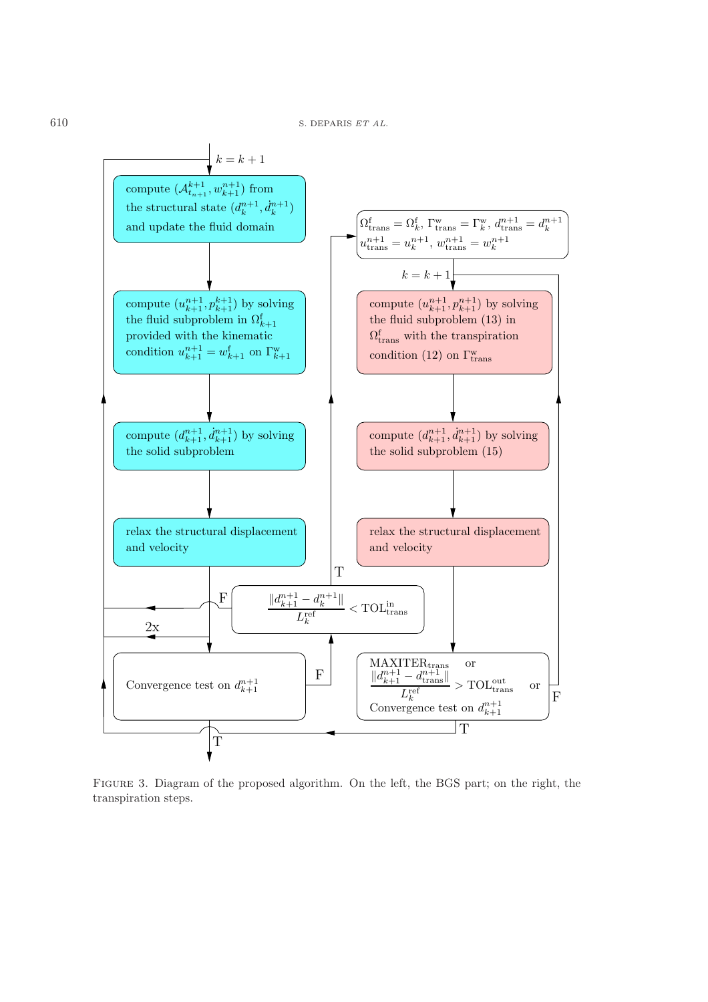

Figure 3. Diagram of the proposed algorithm. On the left, the BGS part; on the right, the transpiration steps.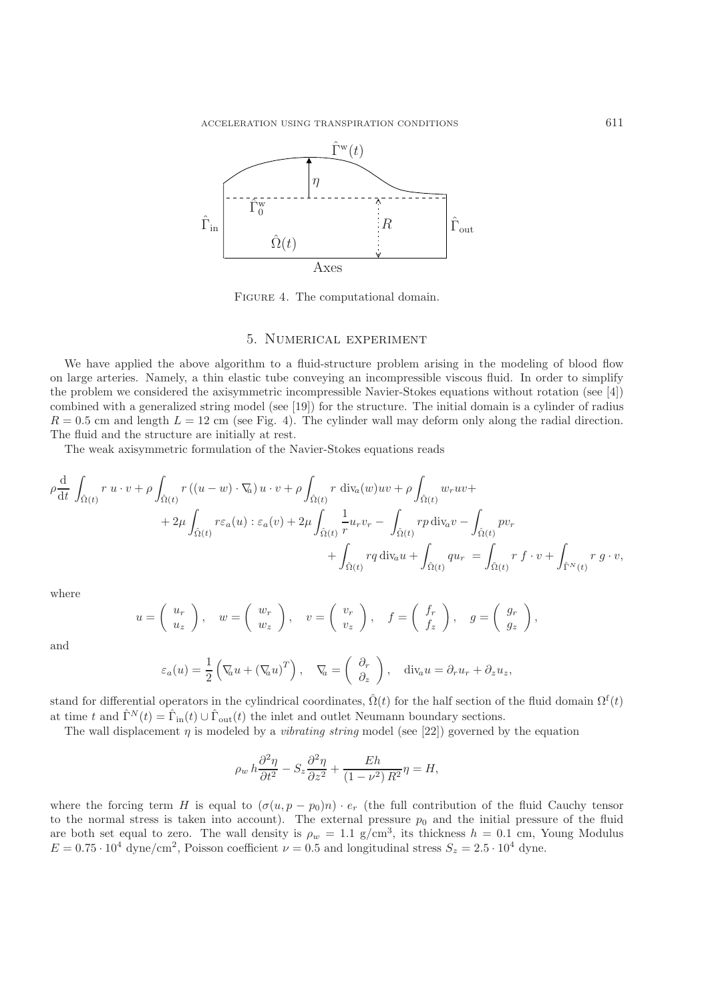

FIGURE 4. The computational domain.

## 5. Numerical experiment

We have applied the above algorithm to a fluid-structure problem arising in the modeling of blood flow on large arteries. Namely, a thin elastic tube conveying an incompressible viscous fluid. In order to simplify the problem we considered the axisymmetric incompressible Navier-Stokes equations without rotation (see [4]) combined with a generalized string model (see [19]) for the structure. The initial domain is a cylinder of radius  $R = 0.5$  cm and length  $L = 12$  cm (see Fig. 4). The cylinder wall may deform only along the radial direction. The fluid and the structure are initially at rest.

The weak axisymmetric formulation of the Navier-Stokes equations reads

$$
\rho \frac{d}{dt} \int_{\hat{\Omega}(t)} r u \cdot v + \rho \int_{\hat{\Omega}(t)} r ((u - w) \cdot \nabla u) u \cdot v + \rho \int_{\hat{\Omega}(t)} r \operatorname{div}_a(w) uv + \rho \int_{\hat{\Omega}(t)} w_r uv + \n+ 2\mu \int_{\hat{\Omega}(t)} r \varepsilon_a(u) : \varepsilon_a(v) + 2\mu \int_{\hat{\Omega}(t)} \frac{1}{r} u_r v_r - \int_{\hat{\Omega}(t)} r p \operatorname{div}_a v - \int_{\hat{\Omega}(t)} p v_r \n+ \int_{\hat{\Omega}(t)} r q \operatorname{div}_a u + \int_{\hat{\Omega}(t)} q u_r = \int_{\hat{\Omega}(t)} r f \cdot v + \int_{\hat{\Gamma}^N(t)} r g \cdot v,
$$

where

$$
u = \begin{pmatrix} u_r \\ u_z \end{pmatrix}, w = \begin{pmatrix} w_r \\ w_z \end{pmatrix}, v = \begin{pmatrix} v_r \\ v_z \end{pmatrix}, f = \begin{pmatrix} f_r \\ f_z \end{pmatrix}, g = \begin{pmatrix} g_r \\ g_z \end{pmatrix},
$$

and

$$
\varepsilon_a(u) = \frac{1}{2} \left( \nabla_a u + (\nabla_a u)^T \right), \quad \nabla_a = \left( \begin{array}{c} \partial_r \\ \partial_z \end{array} \right), \quad \text{div}_a u = \partial_r u_r + \partial_z u_z,
$$

stand for differential operators in the cylindrical coordinates,  $\hat{\Omega}(t)$  for the half section of the fluid domain  $\Omega^{f}(t)$ at time t and  $\hat{\Gamma}^{N}(t) = \hat{\Gamma}_{\text{in}}(t) \cup \hat{\Gamma}_{\text{out}}(t)$  the inlet and outlet Neumann boundary sections.

The wall displacement  $\eta$  is modeled by a *vibrating string* model (see [22]) governed by the equation

$$
\rho_w \, h \frac{\partial^2 \eta}{\partial t^2} - S_z \frac{\partial^2 \eta}{\partial z^2} + \frac{Eh}{\left( 1 - \nu^2 \right) R^2} \eta = H,
$$

where the forcing term H is equal to  $(\sigma(u, p - p_0)n) \cdot e_r$  (the full contribution of the fluid Cauchy tensor to the normal stress is taken into account). The external pressure  $p_0$  and the initial pressure of the fluid are both set equal to zero. The wall density is  $\rho_w = 1.1 \text{ g/cm}^3$ , its thickness  $h = 0.1 \text{ cm}$ , Young Modulus  $E = 0.75 \cdot 10^4$  dyne/cm<sup>2</sup>, Poisson coefficient  $\nu = 0.5$  and longitudinal stress  $S_z = 2.5 \cdot 10^4$  dyne.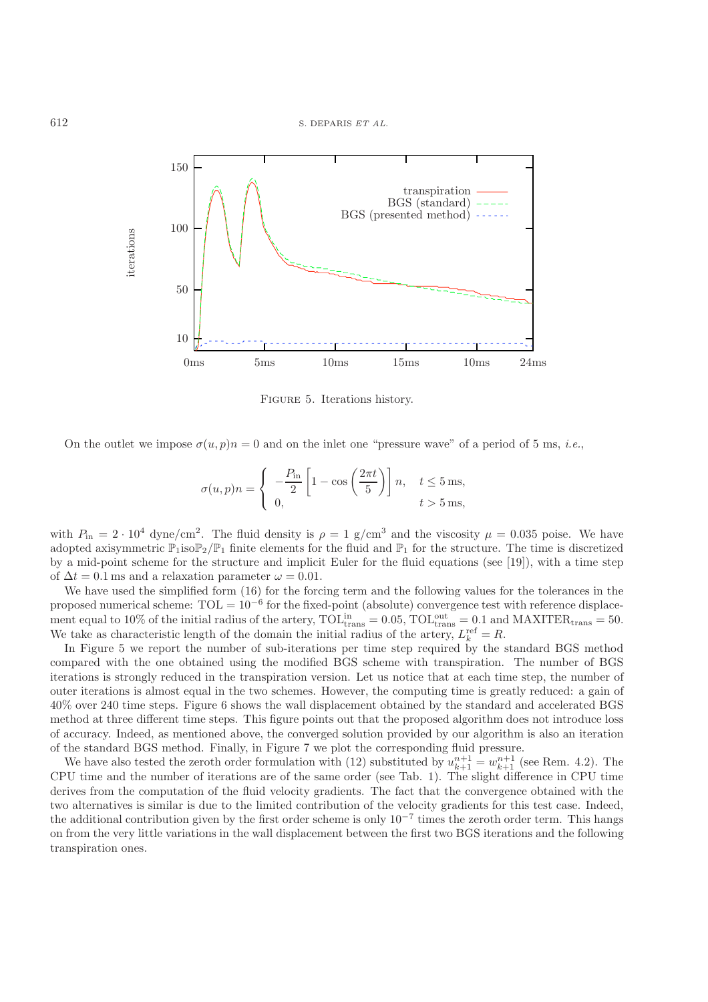#### 612 S. DEPARIS *ET AL.*



Figure 5. Iterations history.

On the outlet we impose  $\sigma(u, p)n = 0$  and on the inlet one "pressure wave" of a period of 5 ms, *i.e.*,

$$
\sigma(u, p)n = \begin{cases}\n-\frac{P_{\text{in}}}{2} \left[ 1 - \cos\left(\frac{2\pi t}{5}\right) \right] n, & t \le 5 \,\text{ms}, \\
0, & t > 5 \,\text{ms},\n\end{cases}
$$

with  $P_{\text{in}} = 2 \cdot 10^4$  dyne/cm<sup>2</sup>. The fluid density is  $\rho = 1$  g/cm<sup>3</sup> and the viscosity  $\mu = 0.035$  poise. We have adopted axisymmetric  $\mathbb{P}_1$ iso $\mathbb{P}_2/\mathbb{P}_1$  finite elements for the fluid and  $\mathbb{P}_1$  for the structure. The time is discretized by a mid-point scheme for the structure and implicit Euler for the fluid equations (see [19]), with a time step of  $\Delta t = 0.1$  ms and a relaxation parameter  $\omega = 0.01$ .

We have used the simplified form (16) for the forcing term and the following values for the tolerances in the proposed numerical scheme:  $TOL = 10^{-6}$  for the fixed-point (absolute) convergence test with reference displacement equal to 10% of the initial radius of the artery,  $\text{TOL}^{\text{in}}_{\text{trans}} = 0.05$ ,  $\text{TOL}^{\text{out}}_{\text{trans}} = 0.1$  and MAXITER<sub>trans</sub> = 50. We take as characteristic length of the domain the initial radius of the artery,  $L_k^{\text{ref}} = R$ .

In Figure 5 we report the number of sub-iterations per time step required by the standard BGS method compared with the one obtained using the modified BGS scheme with transpiration. The number of BGS iterations is strongly reduced in the transpiration version. Let us notice that at each time step, the number of outer iterations is almost equal in the two schemes. However, the computing time is greatly reduced: a gain of 40% over 240 time steps. Figure 6 shows the wall displacement obtained by the standard and accelerated BGS method at three different time steps. This figure points out that the proposed algorithm does not introduce loss of accuracy. Indeed, as mentioned above, the converged solution provided by our algorithm is also an iteration of the standard BGS method. Finally, in Figure 7 we plot the corresponding fluid pressure.

We have also tested the zeroth order formulation with (12) substituted by  $u_{k+1}^{n+1} = w_{k+1}^{n+1}$  (see Rem. 4.2). The CPU time and the number of iterations are of the same order (see Tab. 1). The slight difference in CPU time derives from the computation of the fluid velocity gradients. The fact that the convergence obtained with the two alternatives is similar is due to the limited contribution of the velocity gradients for this test case. Indeed, the additional contribution given by the first order scheme is only  $10^{-7}$  times the zeroth order term. This hangs on from the very little variations in the wall displacement between the first two BGS iterations and the following transpiration ones.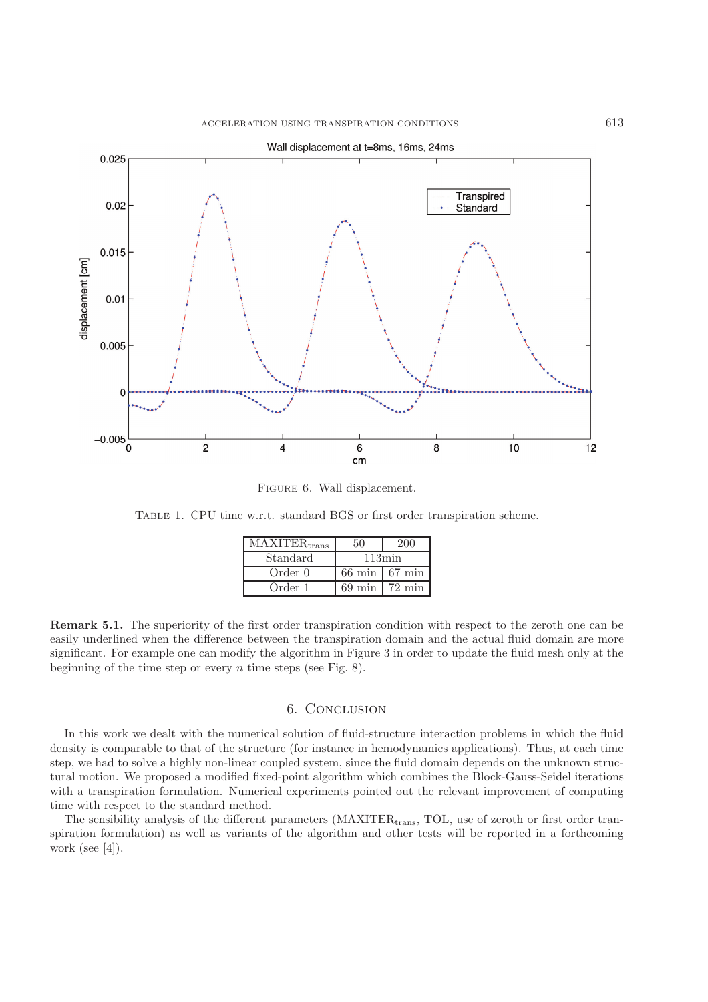

FIGURE 6. Wall displacement.

Table 1. CPU time w.r.t. standard BGS or first order transpiration scheme.

| $\overline{\text{MAXITER}}_{\text{trans}}$ |                                     |                  |
|--------------------------------------------|-------------------------------------|------------------|
| Standard                                   | $113\text{min}$                     |                  |
| Order 0                                    | $66 \text{ min}$   $67 \text{ min}$ |                  |
| Order 1                                    | $69 \text{ min}$                    | $72 \text{ min}$ |

**Remark 5.1.** The superiority of the first order transpiration condition with respect to the zeroth one can be easily underlined when the difference between the transpiration domain and the actual fluid domain are more significant. For example one can modify the algorithm in Figure 3 in order to update the fluid mesh only at the beginning of the time step or every  $n$  time steps (see Fig. 8).

# 6. Conclusion

In this work we dealt with the numerical solution of fluid-structure interaction problems in which the fluid density is comparable to that of the structure (for instance in hemodynamics applications). Thus, at each time step, we had to solve a highly non-linear coupled system, since the fluid domain depends on the unknown structural motion. We proposed a modified fixed-point algorithm which combines the Block-Gauss-Seidel iterations with a transpiration formulation. Numerical experiments pointed out the relevant improvement of computing time with respect to the standard method.

The sensibility analysis of the different parameters (MAXITER<sub>trans</sub>, TOL, use of zeroth or first order transpiration formulation) as well as variants of the algorithm and other tests will be reported in a forthcoming work (see [4]).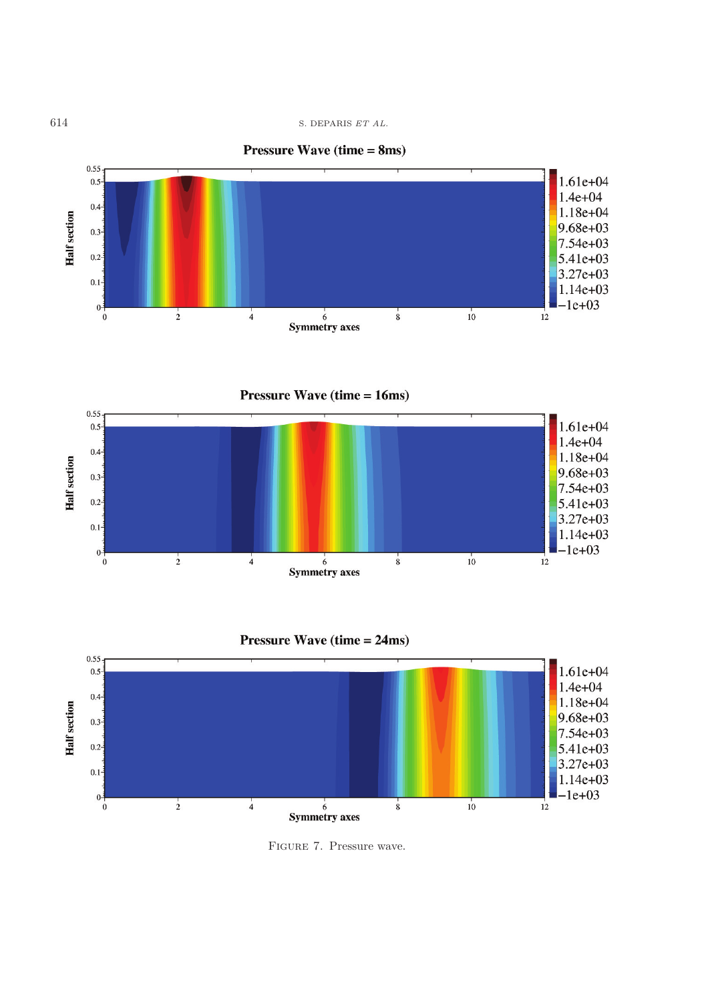

Pressure Wave (time  $= 16$ ms)



Pressure Wave (time  $= 24$ ms)  $0.55 +$  $1.61e+04$  $0.5 1.4e + 04$  $0.4 1.18e + 04$ **Half** section  $9.68e + 03$  $0.3 -$ 7.54e+03  $0.2 5.41e + 03$  $3.27e + 03$  $0.1 1.14e+03$  $\begin{matrix} 0 \\ 0 \\ 0 \end{matrix}$  $-1e+03$  $\frac{6}{6}$ Symmetry axes  $\frac{1}{2}$  $10$  $\frac{1}{4}$  $\overline{8}$  $12$ 

Figure 7. Pressure wave.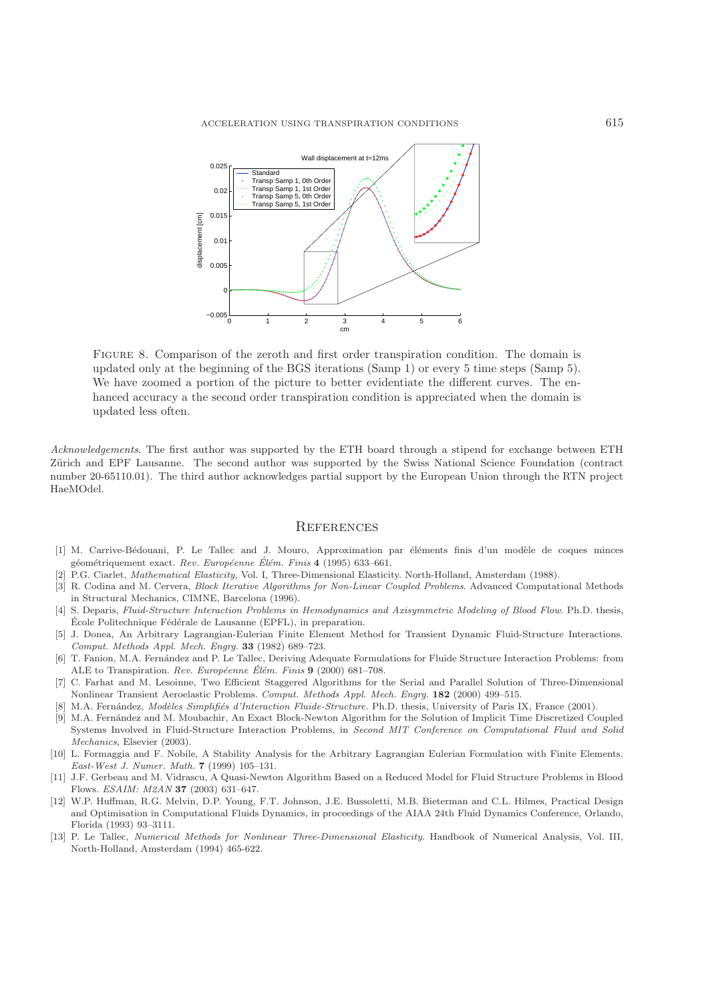

Figure 8. Comparison of the zeroth and first order transpiration condition. The domain is updated only at the beginning of the BGS iterations (Samp 1) or every 5 time steps (Samp 5). We have zoomed a portion of the picture to better evidentiate the different curves. The enhanced accuracy a the second order transpiration condition is appreciated when the domain is updated less often.

*Acknowledgements*. The first author was supported by the ETH board through a stipend for exchange between ETH Zürich and EPF Lausanne. The second author was supported by the Swiss National Science Foundation (contract number 20-65110.01). The third author acknowledges partial support by the European Union through the RTN project HaeMOdel.

### **REFERENCES**

- [1] M. Carrive-B´edouani, P. Le Tallec and J. Mouro, Approximation par ´el´ements finis d'un mod`ele de coques minces g´eom´etriquement exact. *Rev. Europ´eenne El´ ´ em. Finis* **4** (1995) 633–661.
- [2] P.G. Ciarlet, *Mathematical Elasticity*, Vol. I, Three-Dimensional Elasticity. North-Holland, Amsterdam (1988).
- [3] R. Codina and M. Cervera, *Block Iterative Algorithms for Non-Linear Coupled Problems*. Advanced Computational Methods in Structural Mechanics, CIMNE, Barcelona (1996).
- [4] S. Deparis, *Fluid-Structure Interaction Problems in Hemodynamics and Axisymmetric Modeling of Blood Flow*. Ph.D. thesis, École Politechnique Fédérale de Lausanne (EPFL), in preparation.
- [5] J. Donea, An Arbitrary Lagrangian-Eulerian Finite Element Method for Transient Dynamic Fluid-Structure Interactions. *Comput. Methods Appl. Mech. Engrg.* **33** (1982) 689–723.
- [6] T. Fanion, M.A. Fernández and P. Le Tallec, Deriving Adequate Formulations for Fluide Structure Interaction Problems: from ALE to Transpiration. Rev. Européenne Élém. Finis 9 (2000) 681-708.
- [7] C. Farhat and M. Lesoinne, Two Efficient Staggered Algorithms for the Serial and Parallel Solution of Three-Dimensional Nonlinear Transient Aeroelastic Problems. *Comput. Methods Appl. Mech. Engrg.* **182** (2000) 499–515.
- [8] M.A. Fernández, *Modèles Simplifiés d'Interaction Fluide-Structure.* Ph.D. thesis, University of Paris IX, France (2001).
- [9] M.A. Fernández and M. Moubachir, An Exact Block-Newton Algorithm for the Solution of Implicit Time Discretized Coupled Systems Involved in Fluid-Structure Interaction Problems, in *Second MIT Conference on Computational Fluid and Solid Mechanics*, Elsevier (2003).
- [10] L. Formaggia and F. Nobile, A Stability Analysis for the Arbitrary Lagrangian Eulerian Formulation with Finite Elements. *East-West J. Numer. Math.* **7** (1999) 105–131.
- [11] J.F. Gerbeau and M. Vidrascu, A Quasi-Newton Algorithm Based on a Reduced Model for Fluid Structure Problems in Blood Flows. *ESAIM: M2AN* **37** (2003) 631–647.
- [12] W.P. Huffman, R.G. Melvin, D.P. Young, F.T. Johnson, J.E. Bussoletti, M.B. Bieterman and C.L. Hilmes, Practical Design and Optimisation in Computational Fluids Dynamics, in proceedings of the AIAA 24th Fluid Dynamics Conference, Orlando, Florida (1993) 93–3111.
- [13] P. Le Tallec, *Numerical Methods for Nonlinear Three-Dimensional Elasticity*. Handbook of Numerical Analysis, Vol. III, North-Holland, Amsterdam (1994) 465-622.